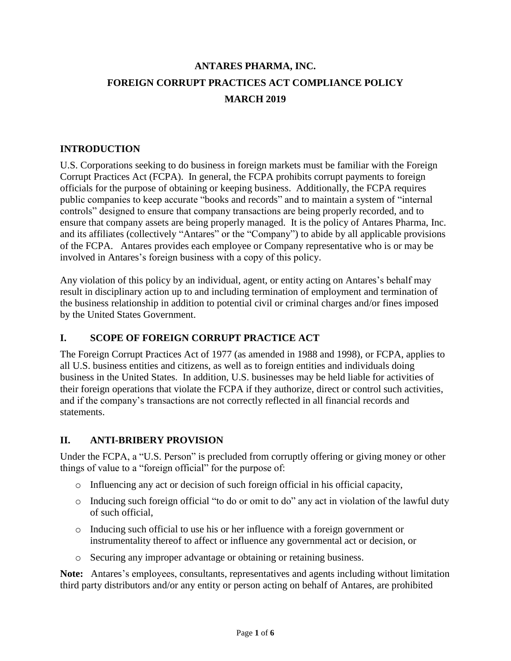# **ANTARES PHARMA, INC. FOREIGN CORRUPT PRACTICES ACT COMPLIANCE POLICY MARCH 2019**

#### **INTRODUCTION**

U.S. Corporations seeking to do business in foreign markets must be familiar with the Foreign Corrupt Practices Act (FCPA). In general, the FCPA prohibits corrupt payments to foreign officials for the purpose of obtaining or keeping business. Additionally, the FCPA requires public companies to keep accurate "books and records" and to maintain a system of "internal controls" designed to ensure that company transactions are being properly recorded, and to ensure that company assets are being properly managed. It is the policy of Antares Pharma, Inc. and its affiliates (collectively "Antares" or the "Company") to abide by all applicable provisions of the FCPA. Antares provides each employee or Company representative who is or may be involved in Antares's foreign business with a copy of this policy.

Any violation of this policy by an individual, agent, or entity acting on Antares's behalf may result in disciplinary action up to and including termination of employment and termination of the business relationship in addition to potential civil or criminal charges and/or fines imposed by the United States Government.

#### **I. SCOPE OF FOREIGN CORRUPT PRACTICE ACT**

The Foreign Corrupt Practices Act of 1977 (as amended in 1988 and 1998), or FCPA, applies to all U.S. business entities and citizens, as well as to foreign entities and individuals doing business in the United States. In addition, U.S. businesses may be held liable for activities of their foreign operations that violate the FCPA if they authorize, direct or control such activities, and if the company's transactions are not correctly reflected in all financial records and statements.

#### **II. ANTI-BRIBERY PROVISION**

Under the FCPA, a "U.S. Person" is precluded from corruptly offering or giving money or other things of value to a "foreign official" for the purpose of:

- $\circ$  Influencing any act or decision of such foreign official in his official capacity,
- o Inducing such foreign official "to do or omit to do" any act in violation of the lawful duty of such official,
- o Inducing such official to use his or her influence with a foreign government or instrumentality thereof to affect or influence any governmental act or decision, or
- o Securing any improper advantage or obtaining or retaining business.

**Note:** Antares's employees, consultants, representatives and agents including without limitation third party distributors and/or any entity or person acting on behalf of Antares, are prohibited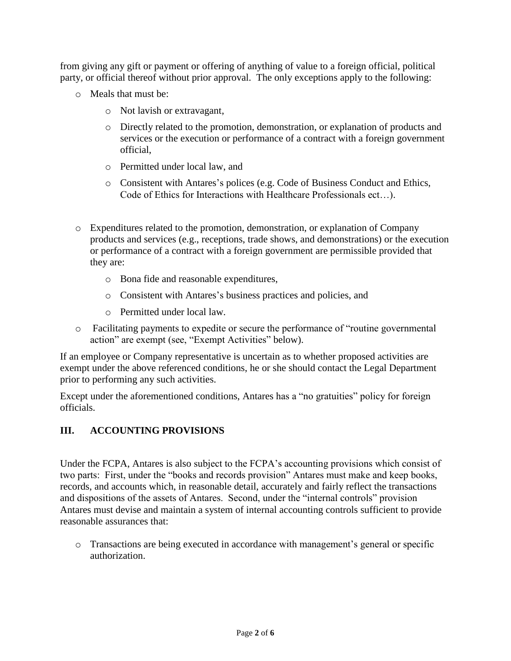from giving any gift or payment or offering of anything of value to a foreign official, political party, or official thereof without prior approval. The only exceptions apply to the following:

- o Meals that must be:
	- o Not lavish or extravagant,
	- o Directly related to the promotion, demonstration, or explanation of products and services or the execution or performance of a contract with a foreign government official,
	- o Permitted under local law, and
	- o Consistent with Antares's polices (e.g. Code of Business Conduct and Ethics, Code of Ethics for Interactions with Healthcare Professionals ect…).
- o Expenditures related to the promotion, demonstration, or explanation of Company products and services (e.g., receptions, trade shows, and demonstrations) or the execution or performance of a contract with a foreign government are permissible provided that they are:
	- o Bona fide and reasonable expenditures,
	- o Consistent with Antares's business practices and policies, and
	- o Permitted under local law.
- o Facilitating payments to expedite or secure the performance of "routine governmental action" are exempt (see, "Exempt Activities" below).

If an employee or Company representative is uncertain as to whether proposed activities are exempt under the above referenced conditions, he or she should contact the Legal Department prior to performing any such activities.

Except under the aforementioned conditions, Antares has a "no gratuities" policy for foreign officials.

## **III. ACCOUNTING PROVISIONS**

Under the FCPA, Antares is also subject to the FCPA's accounting provisions which consist of two parts: First, under the "books and records provision" Antares must make and keep books, records, and accounts which, in reasonable detail, accurately and fairly reflect the transactions and dispositions of the assets of Antares. Second, under the "internal controls" provision Antares must devise and maintain a system of internal accounting controls sufficient to provide reasonable assurances that:

o Transactions are being executed in accordance with management's general or specific authorization.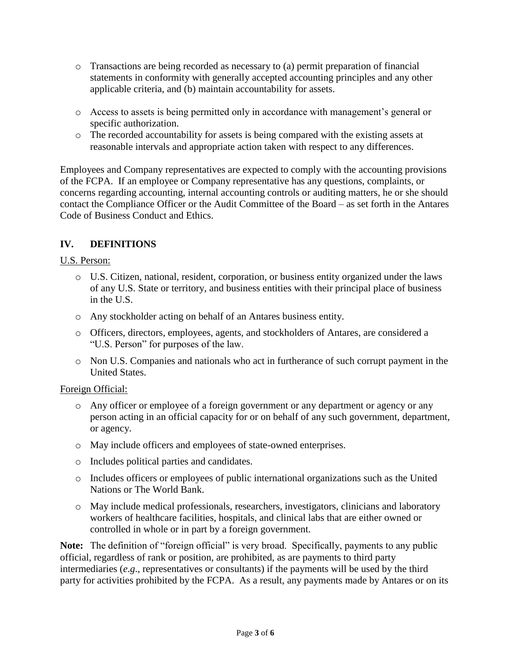- o Transactions are being recorded as necessary to (a) permit preparation of financial statements in conformity with generally accepted accounting principles and any other applicable criteria, and (b) maintain accountability for assets.
- o Access to assets is being permitted only in accordance with management's general or specific authorization.
- o The recorded accountability for assets is being compared with the existing assets at reasonable intervals and appropriate action taken with respect to any differences.

Employees and Company representatives are expected to comply with the accounting provisions of the FCPA. If an employee or Company representative has any questions, complaints, or concerns regarding accounting, internal accounting controls or auditing matters, he or she should contact the Compliance Officer or the Audit Committee of the Board – as set forth in the Antares Code of Business Conduct and Ethics.

## **IV. DEFINITIONS**

#### U.S. Person:

- o U.S. Citizen, national, resident, corporation, or business entity organized under the laws of any U.S. State or territory, and business entities with their principal place of business in the U.S.
- o Any stockholder acting on behalf of an Antares business entity.
- o Officers, directors, employees, agents, and stockholders of Antares, are considered a "U.S. Person" for purposes of the law.
- o Non U.S. Companies and nationals who act in furtherance of such corrupt payment in the United States.

#### Foreign Official:

- o Any officer or employee of a foreign government or any department or agency or any person acting in an official capacity for or on behalf of any such government, department, or agency.
- o May include officers and employees of state-owned enterprises.
- o Includes political parties and candidates.
- o Includes officers or employees of public international organizations such as the United Nations or The World Bank.
- o May include medical professionals, researchers, investigators, clinicians and laboratory workers of healthcare facilities, hospitals, and clinical labs that are either owned or controlled in whole or in part by a foreign government.

**Note:** The definition of "foreign official" is very broad. Specifically, payments to any public official, regardless of rank or position, are prohibited, as are payments to third party intermediaries (*e*.*g*., representatives or consultants) if the payments will be used by the third party for activities prohibited by the FCPA. As a result, any payments made by Antares or on its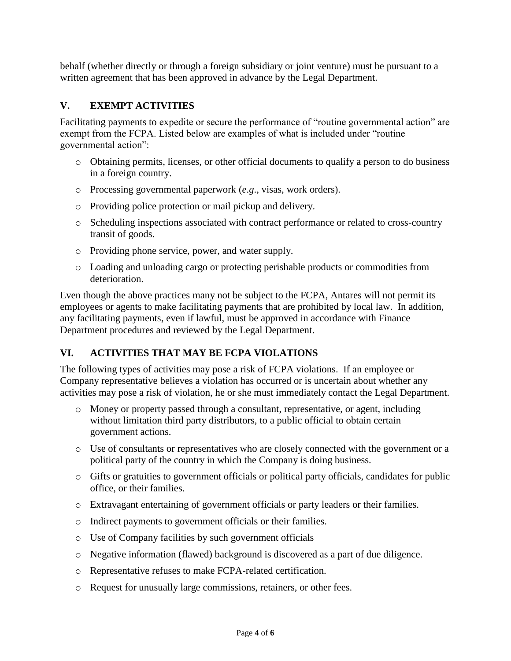behalf (whether directly or through a foreign subsidiary or joint venture) must be pursuant to a written agreement that has been approved in advance by the Legal Department.

## **V. EXEMPT ACTIVITIES**

Facilitating payments to expedite or secure the performance of "routine governmental action" are exempt from the FCPA. Listed below are examples of what is included under "routine governmental action":

- o Obtaining permits, licenses, or other official documents to qualify a person to do business in a foreign country.
- o Processing governmental paperwork (*e*.*g*., visas, work orders).
- o Providing police protection or mail pickup and delivery.
- o Scheduling inspections associated with contract performance or related to cross-country transit of goods.
- o Providing phone service, power, and water supply.
- o Loading and unloading cargo or protecting perishable products or commodities from deterioration.

Even though the above practices many not be subject to the FCPA, Antares will not permit its employees or agents to make facilitating payments that are prohibited by local law. In addition, any facilitating payments, even if lawful, must be approved in accordance with Finance Department procedures and reviewed by the Legal Department.

## **VI. ACTIVITIES THAT MAY BE FCPA VIOLATIONS**

The following types of activities may pose a risk of FCPA violations. If an employee or Company representative believes a violation has occurred or is uncertain about whether any activities may pose a risk of violation, he or she must immediately contact the Legal Department.

- o Money or property passed through a consultant, representative, or agent, including without limitation third party distributors, to a public official to obtain certain government actions.
- o Use of consultants or representatives who are closely connected with the government or a political party of the country in which the Company is doing business.
- o Gifts or gratuities to government officials or political party officials, candidates for public office, or their families.
- o Extravagant entertaining of government officials or party leaders or their families.
- o Indirect payments to government officials or their families.
- o Use of Company facilities by such government officials
- o Negative information (flawed) background is discovered as a part of due diligence.
- o Representative refuses to make FCPA-related certification.
- o Request for unusually large commissions, retainers, or other fees.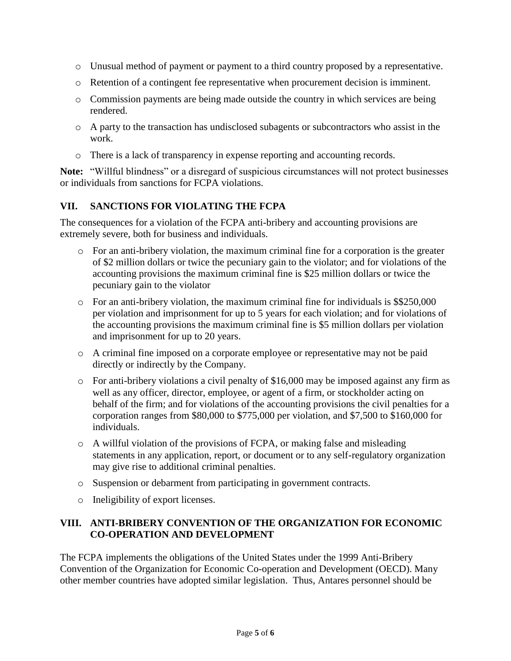- o Unusual method of payment or payment to a third country proposed by a representative.
- o Retention of a contingent fee representative when procurement decision is imminent.
- o Commission payments are being made outside the country in which services are being rendered.
- o A party to the transaction has undisclosed subagents or subcontractors who assist in the work.
- o There is a lack of transparency in expense reporting and accounting records.

**Note:** "Willful blindness" or a disregard of suspicious circumstances will not protect businesses or individuals from sanctions for FCPA violations.

#### **VII. SANCTIONS FOR VIOLATING THE FCPA**

The consequences for a violation of the FCPA anti-bribery and accounting provisions are extremely severe, both for business and individuals.

- $\circ$  For an anti-bribery violation, the maximum criminal fine for a corporation is the greater of \$2 million dollars or twice the pecuniary gain to the violator; and for violations of the accounting provisions the maximum criminal fine is \$25 million dollars or twice the pecuniary gain to the violator
- $\circ$  For an anti-bribery violation, the maximum criminal fine for individuals is \$\$250,000 per violation and imprisonment for up to 5 years for each violation; and for violations of the accounting provisions the maximum criminal fine is \$5 million dollars per violation and imprisonment for up to 20 years.
- o A criminal fine imposed on a corporate employee or representative may not be paid directly or indirectly by the Company.
- o For anti-bribery violations a civil penalty of \$16,000 may be imposed against any firm as well as any officer, director, employee, or agent of a firm, or stockholder acting on behalf of the firm; and for violations of the accounting provisions the civil penalties for a corporation ranges from \$80,000 to \$775,000 per violation, and \$7,500 to \$160,000 for individuals.
- o A willful violation of the provisions of FCPA, or making false and misleading statements in any application, report, or document or to any self-regulatory organization may give rise to additional criminal penalties.
- o Suspension or debarment from participating in government contracts.
- o Ineligibility of export licenses.

#### **VIII. ANTI-BRIBERY CONVENTION OF THE ORGANIZATION FOR ECONOMIC CO-OPERATION AND DEVELOPMENT**

The FCPA implements the obligations of the United States under the 1999 Anti-Bribery Convention of the Organization for Economic Co-operation and Development (OECD). Many other member countries have adopted similar legislation. Thus, Antares personnel should be